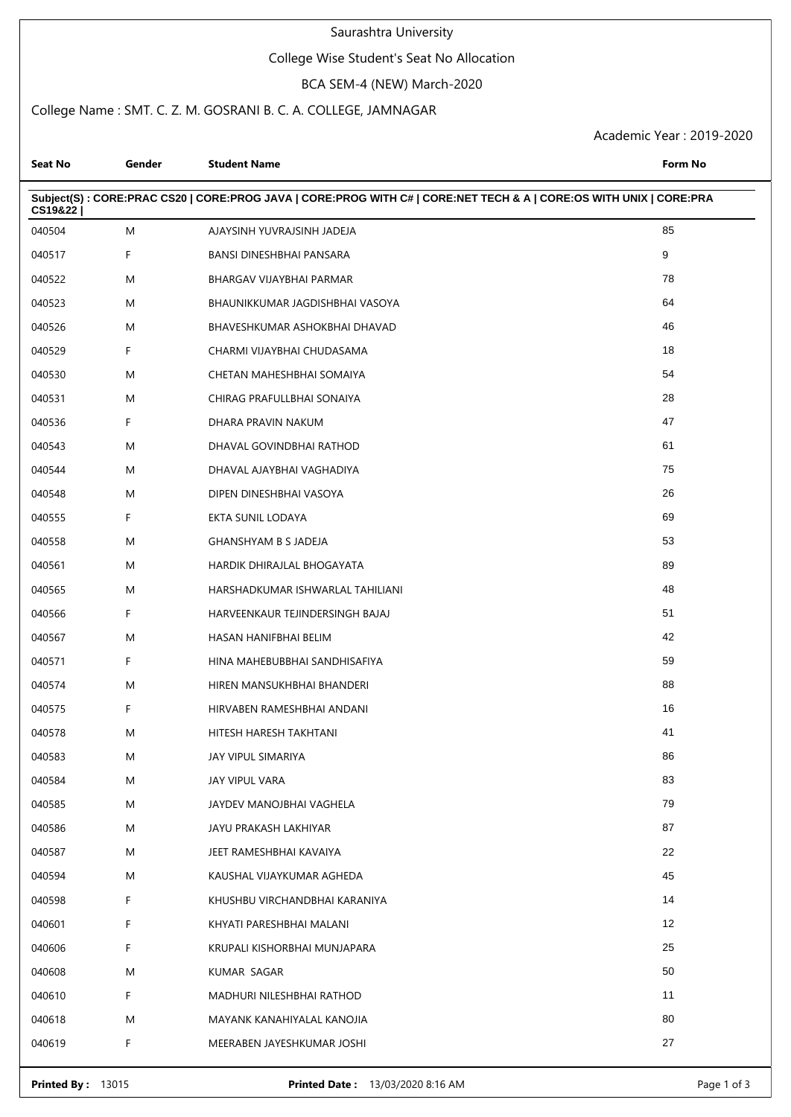# Saurashtra University

# College Wise Student's Seat No Allocation

## BCA SEM-4 (NEW) March-2020

# College Name : SMT. C. Z. M. GOSRANI B. C. A. COLLEGE, JAMNAGAR

Academic Year : 2019-2020

| <b>Seat No</b> | Gender | <b>Student Name</b>                                                                                                | Form No |
|----------------|--------|--------------------------------------------------------------------------------------------------------------------|---------|
| CS19&22        |        | Subject(S): CORE:PRAC CS20   CORE:PROG JAVA   CORE:PROG WITH C#   CORE:NET TECH & A   CORE:OS WITH UNIX   CORE:PRA |         |
| 040504         | M      | AJAYSINH YUVRAJSINH JADEJA                                                                                         | 85      |
| 040517         | F      | BANSI DINESHBHAI PANSARA                                                                                           | 9       |
| 040522         | M      | BHARGAV VIJAYBHAI PARMAR                                                                                           | 78      |
| 040523         | M      | BHAUNIKKUMAR JAGDISHBHAI VASOYA                                                                                    | 64      |
| 040526         | M      | BHAVESHKUMAR ASHOKBHAI DHAVAD                                                                                      | 46      |
| 040529         | F      | CHARMI VIJAYBHAI CHUDASAMA                                                                                         | 18      |
| 040530         | M      | CHETAN MAHESHBHAI SOMAIYA                                                                                          | 54      |
| 040531         | M      | CHIRAG PRAFULLBHAI SONAIYA                                                                                         | 28      |
| 040536         | F      | DHARA PRAVIN NAKUM                                                                                                 | 47      |
| 040543         | M      | DHAVAL GOVINDBHAI RATHOD                                                                                           | 61      |
| 040544         | M      | DHAVAL AJAYBHAI VAGHADIYA                                                                                          | 75      |
| 040548         | M      | DIPEN DINESHBHAI VASOYA                                                                                            | 26      |
| 040555         | F      | EKTA SUNIL LODAYA                                                                                                  | 69      |
| 040558         | M      | GHANSHYAM B S JADEJA                                                                                               | 53      |
| 040561         | M      | HARDIK DHIRAJLAL BHOGAYATA                                                                                         | 89      |
| 040565         | M      | HARSHADKUMAR ISHWARLAL TAHILIANI                                                                                   | 48      |
| 040566         | F      | HARVEENKAUR TEJINDERSINGH BAJAJ                                                                                    | 51      |
| 040567         | M      | HASAN HANIFBHAI BELIM                                                                                              | 42      |
| 040571         | F.     | HINA MAHEBUBBHAI SANDHISAFIYA                                                                                      | 59      |
| 040574         | M      | HIREN MANSUKHBHAI BHANDERI                                                                                         | 88      |
| 040575         | F      | HIRVABEN RAMESHBHAI ANDANI                                                                                         | 16      |
| 040578         | Μ      | HITESH HARESH TAKHTANI                                                                                             | 41      |
| 040583         | M      | JAY VIPUL SIMARIYA                                                                                                 | 86      |
| 040584         | Μ      | JAY VIPUL VARA                                                                                                     | 83      |
| 040585         | M      | JAYDEV MANOJBHAI VAGHELA                                                                                           | 79      |
| 040586         | M      | JAYU PRAKASH LAKHIYAR                                                                                              | 87      |
| 040587         | M      | JEET RAMESHBHAI KAVAIYA                                                                                            | 22      |
| 040594         | Μ      | KAUSHAL VIJAYKUMAR AGHEDA                                                                                          | 45      |
| 040598         | F      | KHUSHBU VIRCHANDBHAI KARANIYA                                                                                      | 14      |
| 040601         | F      | KHYATI PARESHBHAI MALANI                                                                                           | 12      |
| 040606         | F      | KRUPALI KISHORBHAI MUNJAPARA                                                                                       | 25      |
| 040608         | M      | KUMAR SAGAR                                                                                                        | 50      |
| 040610         | F      | MADHURI NILESHBHAI RATHOD                                                                                          | 11      |
| 040618         | M      | MAYANK KANAHIYALAL KANOJIA                                                                                         | 80      |
| 040619         | F      | MEERABEN JAYESHKUMAR JOSHI                                                                                         | 27      |
|                |        |                                                                                                                    |         |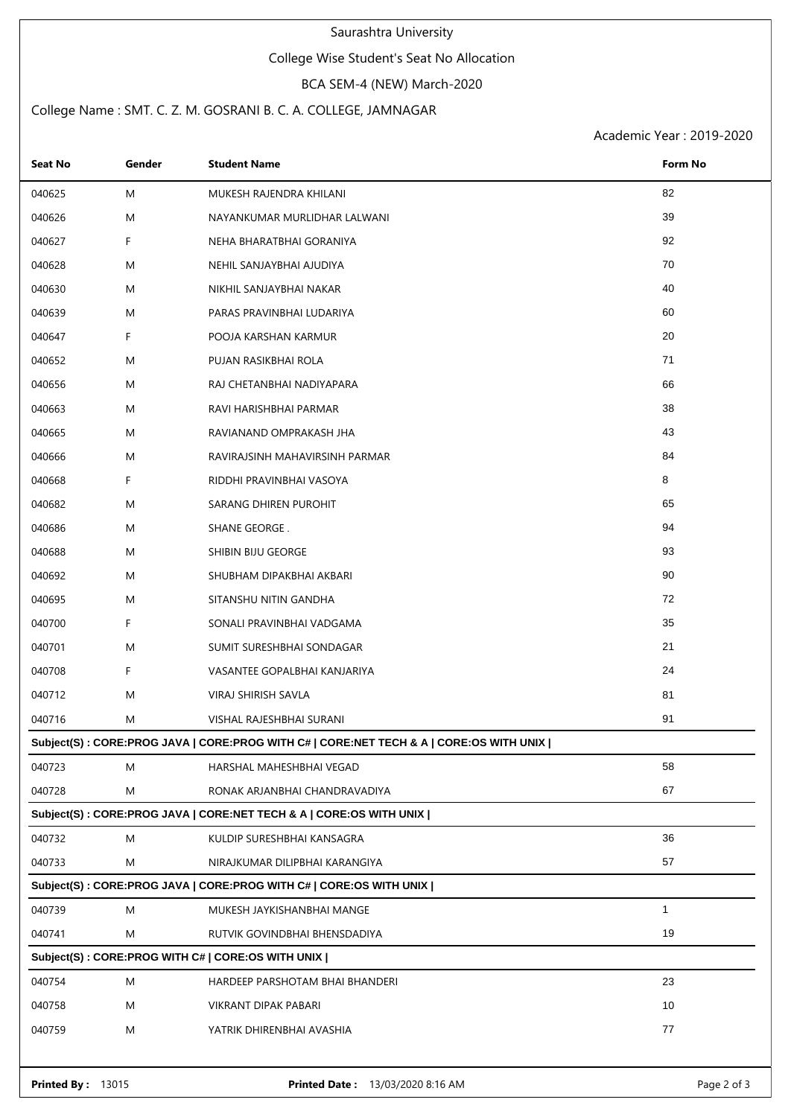## Saurashtra University

# College Wise Student's Seat No Allocation

## BCA SEM-4 (NEW) March-2020

# College Name : SMT. C. Z. M. GOSRANI B. C. A. COLLEGE, JAMNAGAR

Academic Year : 2019-2020

| <b>Seat No</b>                                                                          | Gender | <b>Student Name</b>             | <b>Form No</b> |  |  |  |  |
|-----------------------------------------------------------------------------------------|--------|---------------------------------|----------------|--|--|--|--|
| 040625                                                                                  | M      | MUKESH RAJENDRA KHILANI         | 82             |  |  |  |  |
| 040626                                                                                  | M      | NAYANKUMAR MURLIDHAR LALWANI    | 39             |  |  |  |  |
| 040627                                                                                  | F.     | NEHA BHARATBHAI GORANIYA        | 92             |  |  |  |  |
| 040628                                                                                  | M      | NEHIL SANJAYBHAI AJUDIYA        | 70             |  |  |  |  |
| 040630                                                                                  | M      | NIKHIL SANJAYBHAI NAKAR         | 40             |  |  |  |  |
| 040639                                                                                  | M      | PARAS PRAVINBHAI LUDARIYA       | 60             |  |  |  |  |
| 040647                                                                                  | F.     | POOJA KARSHAN KARMUR            | 20             |  |  |  |  |
| 040652                                                                                  | M      | PUJAN RASIKBHAI ROLA            | 71             |  |  |  |  |
| 040656                                                                                  | M      | RAJ CHETANBHAI NADIYAPARA       | 66             |  |  |  |  |
| 040663                                                                                  | M      | RAVI HARISHBHAI PARMAR          | 38             |  |  |  |  |
| 040665                                                                                  | M      | RAVIANAND OMPRAKASH JHA         | 43             |  |  |  |  |
| 040666                                                                                  | M      | RAVIRAJSINH MAHAVIRSINH PARMAR  | 84             |  |  |  |  |
| 040668                                                                                  | F      | RIDDHI PRAVINBHAI VASOYA        | 8              |  |  |  |  |
| 040682                                                                                  | M      | SARANG DHIREN PUROHIT           | 65             |  |  |  |  |
| 040686                                                                                  | M      | SHANE GEORGE.                   | 94             |  |  |  |  |
| 040688                                                                                  | M      | SHIBIN BIJU GEORGE              | 93             |  |  |  |  |
| 040692                                                                                  | M      | SHUBHAM DIPAKBHAI AKBARI        | 90             |  |  |  |  |
| 040695                                                                                  | M      | SITANSHU NITIN GANDHA           | 72             |  |  |  |  |
| 040700                                                                                  | F      | SONALI PRAVINBHAI VADGAMA       | 35             |  |  |  |  |
| 040701                                                                                  | M      | SUMIT SURESHBHAI SONDAGAR       | 21             |  |  |  |  |
| 040708                                                                                  | F      | VASANTEE GOPALBHAI KANJARIYA    | 24             |  |  |  |  |
| 040712                                                                                  | M      | VIRAJ SHIRISH SAVLA             | 81             |  |  |  |  |
| 040716                                                                                  | M      | VISHAL RAJESHBHAI SURANI        | 91             |  |  |  |  |
| Subject(S) : CORE:PROG JAVA   CORE:PROG WITH C#   CORE:NET TECH & A   CORE:OS WITH UNIX |        |                                 |                |  |  |  |  |
| 040723                                                                                  | M      | HARSHAL MAHESHBHAI VEGAD        | 58             |  |  |  |  |
| 040728                                                                                  | M      | RONAK ARJANBHAI CHANDRAVADIYA   | 67             |  |  |  |  |
| Subject(S): CORE:PROG JAVA   CORE:NET TECH & A   CORE:OS WITH UNIX                      |        |                                 |                |  |  |  |  |
| 040732                                                                                  | M      | KULDIP SURESHBHAI KANSAGRA      | 36             |  |  |  |  |
| 040733                                                                                  | M      | NIRAJKUMAR DILIPBHAI KARANGIYA  | 57             |  |  |  |  |
| Subject(S): CORE:PROG JAVA   CORE:PROG WITH C#   CORE:OS WITH UNIX                      |        |                                 |                |  |  |  |  |
| 040739                                                                                  | M      | MUKESH JAYKISHANBHAI MANGE      | $\mathbf{1}$   |  |  |  |  |
| 040741                                                                                  | M      | RUTVIK GOVINDBHAI BHENSDADIYA   | 19             |  |  |  |  |
| Subject(S): CORE:PROG WITH C#   CORE:OS WITH UNIX                                       |        |                                 |                |  |  |  |  |
| 040754                                                                                  | M      | HARDEEP PARSHOTAM BHAI BHANDERI | 23             |  |  |  |  |
| 040758                                                                                  | M      | VIKRANT DIPAK PABARI            | 10             |  |  |  |  |
| 040759                                                                                  | M      | YATRIK DHIRENBHAI AVASHIA       | 77             |  |  |  |  |
|                                                                                         |        |                                 |                |  |  |  |  |